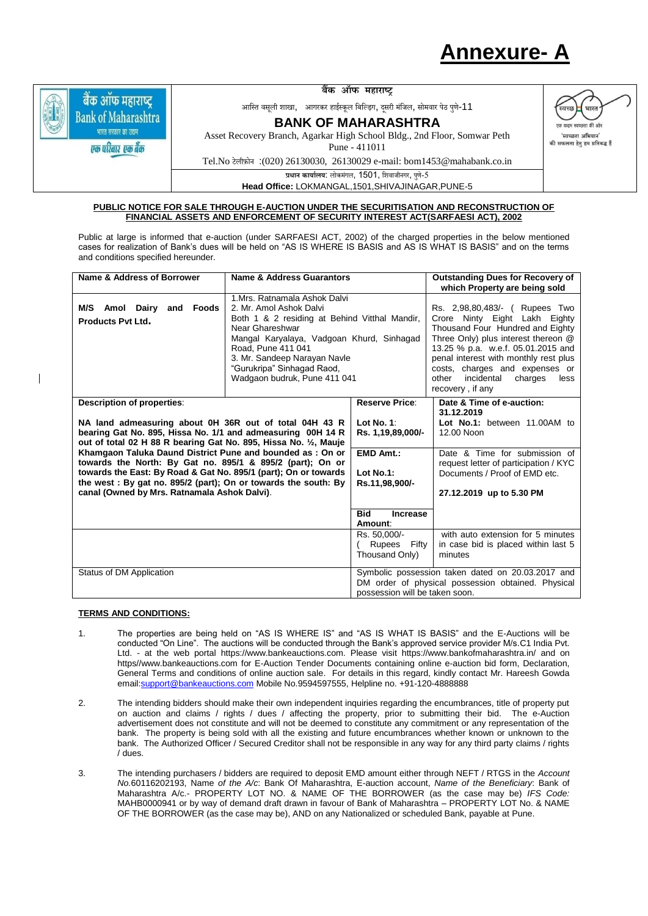

बैंक ऑफ महाराष्ट्र **Bank of Maharashtra** भारत सरकार का उद्यम एक परिवार एक बैंक

**बैंक ऑफ महाराष्ट्र**

आस्ति वसूली शाखा, आगरकर हाईस्कूल बिल्ड़िग, दुसरी मंजिल, सोमवार पेठ पुणे-11

## **BANK OF MAHARASHTRA**

Asset Recovery Branch, Agarkar High School Bldg., 2nd Floor, Somwar Peth Pune - 411011

Tel.No टेलीफ़ोन :(020) 26130030, 26130029 e-mail: bom1453@mahabank.co.in

**प्रधान कार्यालय:** लोकमंगल, 1501, शिवाजीनगर, पणे-5

**Head Office:** LOKMANGAL,1501,SHIVAJINAGAR,PUNE-5

## **PUBLIC NOTICE FOR SALE THROUGH E-AUCTION UNDER THE SECURITISATION AND RECONSTRUCTION OF FINANCIAL ASSETS AND ENFORCEMENT OF SECURITY INTEREST ACT(SARFAESI ACT), 2002**

Public at large is informed that e-auction (under SARFAESI ACT, 2002) of the charged properties in the below mentioned cases for realization of Bank's dues will be held on "AS IS WHERE IS BASIS and AS IS WHAT IS BASIS" and on the terms and conditions specified hereunder.

| <b>Name &amp; Address of Borrower</b><br><b>Name &amp; Address Guarantors</b>                                                                                                                                                                                                                                                                                                                                                                                                                            |                                                                                                                                                                                                                                                                                               | <b>Outstanding Dues for Recovery of</b><br>which Property are being sold                                                                  |                                                                                                                                                                                                                                                                                                                           |
|----------------------------------------------------------------------------------------------------------------------------------------------------------------------------------------------------------------------------------------------------------------------------------------------------------------------------------------------------------------------------------------------------------------------------------------------------------------------------------------------------------|-----------------------------------------------------------------------------------------------------------------------------------------------------------------------------------------------------------------------------------------------------------------------------------------------|-------------------------------------------------------------------------------------------------------------------------------------------|---------------------------------------------------------------------------------------------------------------------------------------------------------------------------------------------------------------------------------------------------------------------------------------------------------------------------|
| M/S<br>Amol Dairy and<br>Foods<br><b>Products Pvt Ltd.</b>                                                                                                                                                                                                                                                                                                                                                                                                                                               | 1. Mrs. Ratnamala Ashok Dalvi<br>2. Mr. Amol Ashok Dalvi<br>Both 1 & 2 residing at Behind Vitthal Mandir,<br>Near Ghareshwar<br>Mangal Karyalaya, Vadgoan Khurd, Sinhagad<br>Road, Pune 411 041<br>3. Mr. Sandeep Narayan Navle<br>"Gurukripa" Sinhagad Raod,<br>Wadgaon budruk, Pune 411 041 |                                                                                                                                           | Rs. 2,98,80,483/- ( Rupees Two<br>Crore Ninty Eight Lakh Eighty<br>Thousand Four Hundred and Eighty<br>Three Only) plus interest thereon @<br>13.25 % p.a. w.e.f. 05.01.2015 and<br>penal interest with monthly rest plus<br>costs, charges and expenses or<br>incidental<br>other<br>charges<br>less<br>recovery, if any |
| Description of properties:                                                                                                                                                                                                                                                                                                                                                                                                                                                                               |                                                                                                                                                                                                                                                                                               | <b>Reserve Price:</b>                                                                                                                     | Date & Time of e-auction:<br>31.12.2019                                                                                                                                                                                                                                                                                   |
| NA land admeasuring about 0H 36R out of total 04H 43 R<br>bearing Gat No. 895, Hissa No. 1/1 and admeasuring 00H 14 R<br>out of total 02 H 88 R bearing Gat No. 895, Hissa No. 1/2, Mauje<br>Khamgaon Taluka Daund District Pune and bounded as: On or<br>towards the North: By Gat no. 895/1 & 895/2 (part); On or<br>towards the East: By Road & Gat No. 895/1 (part); On or towards<br>the west: By gat no. 895/2 (part); On or towards the south: By<br>canal (Owned by Mrs. Ratnamala Ashok Dalvi). |                                                                                                                                                                                                                                                                                               | Lot No. 1:<br>Rs. 1,19,89,000/-<br>EMD Amt.:<br>Lot No.1:<br>Rs.11,98,900/-<br><b>Bid</b><br><b>Increase</b><br>Amount:                   | Lot No.1: between 11.00AM to<br>12.00 Noon<br>Date & Time for submission of<br>request letter of participation / KYC<br>Documents / Proof of EMD etc.<br>27.12.2019 up to 5.30 PM                                                                                                                                         |
|                                                                                                                                                                                                                                                                                                                                                                                                                                                                                                          |                                                                                                                                                                                                                                                                                               | Rs. 50.000/-<br><b>Rupees</b><br>Fifty<br>Thousand Only)                                                                                  | with auto extension for 5 minutes<br>in case bid is placed within last 5<br>minutes                                                                                                                                                                                                                                       |
| Status of DM Application                                                                                                                                                                                                                                                                                                                                                                                                                                                                                 |                                                                                                                                                                                                                                                                                               | Symbolic possession taken dated on 20.03.2017 and<br>DM order of physical possession obtained. Physical<br>possession will be taken soon. |                                                                                                                                                                                                                                                                                                                           |

## **TERMS AND CONDITIONS:**

- 1. The properties are being held on "AS IS WHERE IS" and "AS IS WHAT IS BASIS" and the E-Auctions will be conducted "On Line". The auctions will be conducted through the Bank's approved service provider M/s.C1 India Pvt. Ltd. - at the web portal https://www.bankeauctions.com. Please visit https://www.bankofmaharashtra.in/ and on https//www.bankeauctions.com for E-Auction Tender Documents containing online e-auction bid form, Declaration, General Terms and conditions of online auction sale. For details in this regard, kindly contact Mr. Hareesh Gowda email: support@bankeauctions.com Mobile No.9594597555, Helpline no. +91-120-4888888
- 2. The intending bidders should make their own independent inquiries regarding the encumbrances, title of property put on auction and claims / rights / dues / affecting the property, prior to submitting their bid. The e-Auction advertisement does not constitute and will not be deemed to constitute any commitment or any representation of the bank. The property is being sold with all the existing and future encumbrances whether known or unknown to the bank. The Authorized Officer / Secured Creditor shall not be responsible in any way for any third party claims / rights / dues.
- 3. The intending purchasers / bidders are required to deposit EMD amount either through NEFT / RTGS in the *Account No.*60116202193, Name *of the A/c*: Bank Of Maharashtra, E-auction account, *Name of the Beneficiary*: Bank of Maharashtra A/c.- PROPERTY LOT NO. & NAME OF THE BORROWER (as the case may be) *IFS Code:* MAHB0000941 or by way of demand draft drawn in favour of Bank of Maharashtra – PROPERTY LOT No. & NAME OF THE BORROWER (as the case may be), AND on any Nationalized or scheduled Bank, payable at Pune.